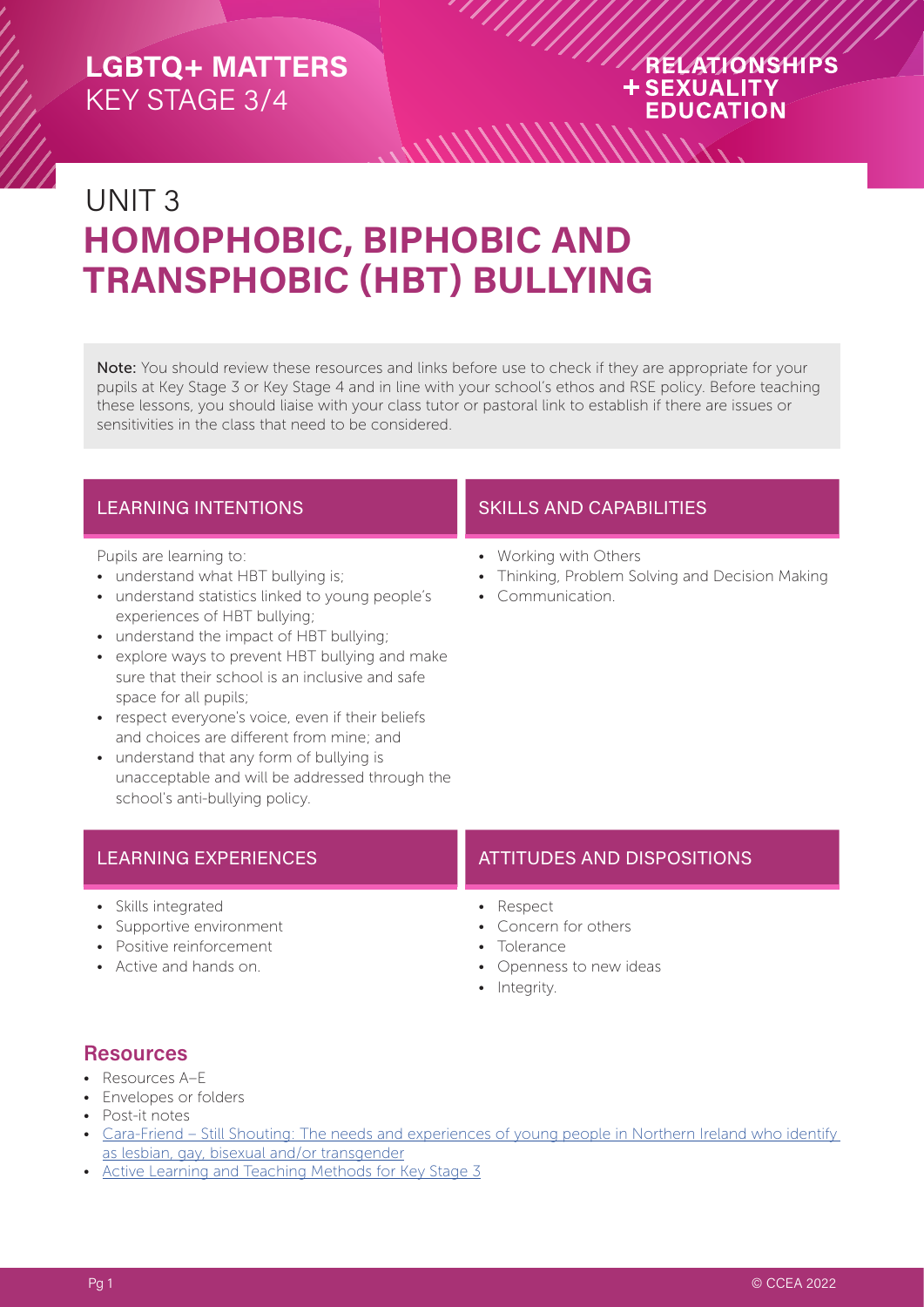#### RELATIONSHIPS **+SEXUALITY EDUCATION**

# UNIT 3 **HOMOPHOBIC, BIPHOBIC AND TRANSPHOBIC (HBT) BULLYING**

Note: You should review these resources and links before use to check if they are appropriate for your pupils at Key Stage 3 or Key Stage 4 and in line with your school's ethos and RSE policy. Before teaching these lessons, you should liaise with your class tutor or pastoral link to establish if there are issues or sensitivities in the class that need to be considered.

 $\frac{1}{2}$ 

Pupils are learning to:

- understand what HBT bullying is;
- understand statistics linked to young people's experiences of HBT bullying;
- understand the impact of HBT bullying;
- explore ways to prevent HBT bullying and make sure that their school is an inclusive and safe space for all pupils;
- respect everyone's voice, even if their beliefs and choices are different from mine; and
- understand that any form of bullying is unacceptable and will be addressed through the school's anti-bullying policy.

#### LEARNING INTENTIONS **SKILLS AND CAPABILITIES**

- Working with Others
- Thinking, Problem Solving and Decision Making
- Communication.

- Skills integrated
- Supportive environment
- Positive reinforcement
- Active and hands on.

#### LEARNING EXPERIENCES AND ATTITUDES AND DISPOSITIONS

- Respect
- Concern for others
- Tolerance
- Openness to new ideas
- Integrity.

#### **Resources**

- Resources A–E
- Envelopes or folders
- Post-it notes
- Cara-Friend Still Shouting: The needs and experiences of young people in Northern Ireland who identify [as lesbian, gay, bisexual and/or transgender](https://cara-friend.org.uk/wp-content/uploads/2018/08/Still-Shouting-2017.pdf)
- [Active Learning and Teaching Methods for Key Stage 3](https://ccea.org.uk/downloads/docs/ccea-asset/Curriculum/Active%20Learning%20and%20Teaching%20Methods%20for%20Key%20Stage%203.pdf)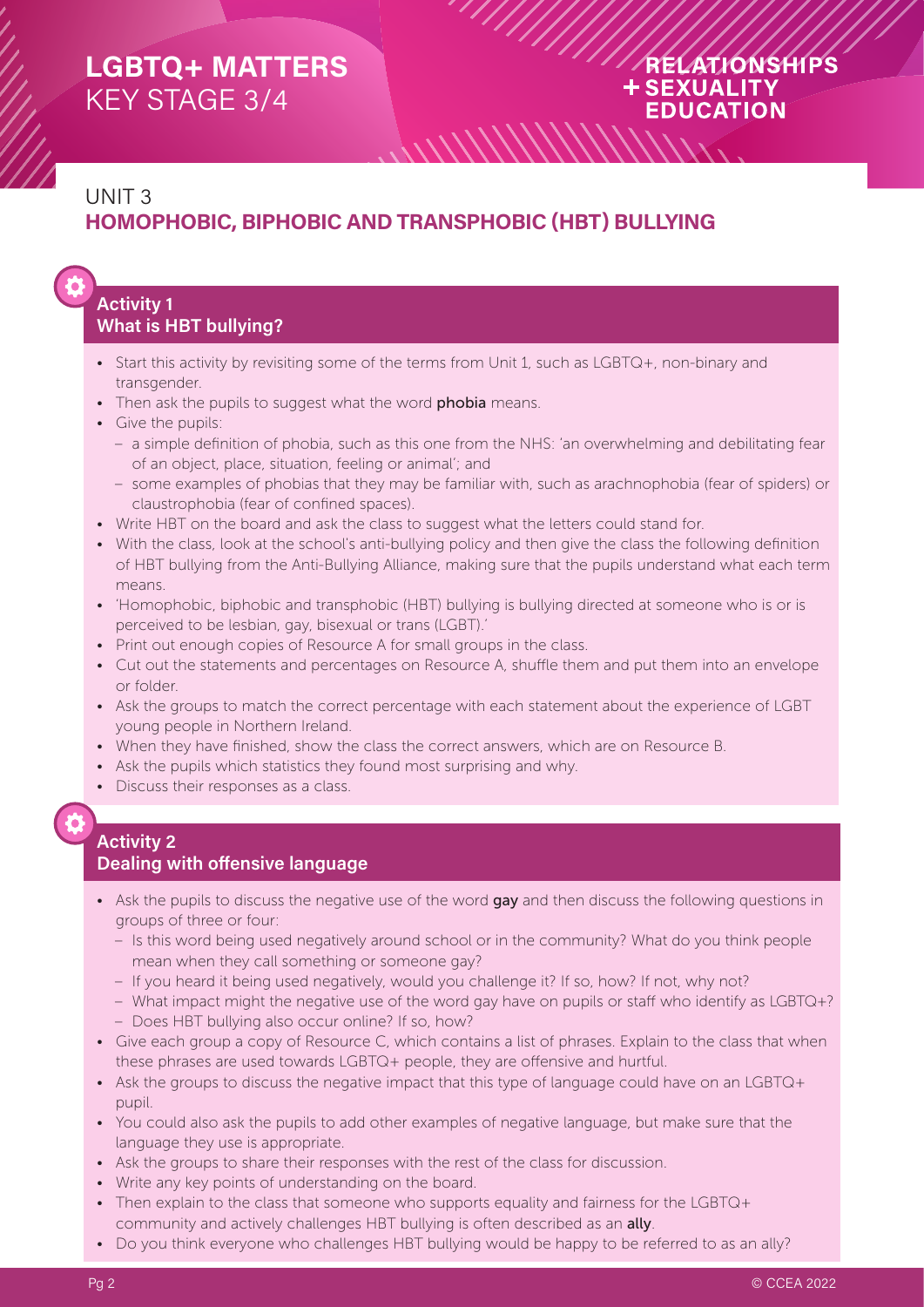#### RELATIONSHIPS **+SEXUALITY EDUCATION**

## UNIT 3 **HOMOPHOBIC, BIPHOBIC AND TRANSPHOBIC (HBT) BULLYING**

#### **Activity 1 What is HBT bullying?**

- Start this activity by revisiting some of the terms from Unit 1, such as LGBTQ+, non-binary and transgender.
- Then ask the pupils to suggest what the word **phobia** means.
- Give the pupils:
	- a simple definition of phobia, such as this one from the NHS: 'an overwhelming and debilitating fear of an object, place, situation, feeling or animal'; and

 $\frac{1}{2}$ 

- some examples of phobias that they may be familiar with, such as arachnophobia (fear of spiders) or claustrophobia (fear of confined spaces).
- Write HBT on the board and ask the class to suggest what the letters could stand for.
- With the class, look at the school's anti-bullying policy and then give the class the following definition of HBT bullying from the Anti-Bullying Alliance, making sure that the pupils understand what each term means.
- 'Homophobic, biphobic and transphobic (HBT) bullying is bullying directed at someone who is or is perceived to be lesbian, gay, bisexual or trans (LGBT).'
- Print out enough copies of Resource A for small groups in the class.
- Cut out the statements and percentages on Resource A, shuffle them and put them into an envelope or folder.
- Ask the groups to match the correct percentage with each statement about the experience of LGBT young people in Northern Ireland.
- When they have finished, show the class the correct answers, which are on Resource B.
- Ask the pupils which statistics they found most surprising and why.
- Discuss their responses as a class.

## **Activity 2**

#### **Dealing with offensive language**

- Ask the pupils to discuss the negative use of the word gay and then discuss the following questions in groups of three or four:
	- Is this word being used negatively around school or in the community? What do you think people mean when they call something or someone gay?
	- If you heard it being used negatively, would you challenge it? If so, how? If not, why not?
	- What impact might the negative use of the word gay have on pupils or staff who identify as LGBTQ+?
	- Does HBT bullying also occur online? If so, how?
- Give each group a copy of Resource C, which contains a list of phrases. Explain to the class that when these phrases are used towards LGBTQ+ people, they are offensive and hurtful.
- Ask the groups to discuss the negative impact that this type of language could have on an LGBTQ+ pupil.
- You could also ask the pupils to add other examples of negative language, but make sure that the language they use is appropriate.
- Ask the groups to share their responses with the rest of the class for discussion.
- Write any key points of understanding on the board.
- Then explain to the class that someone who supports equality and fairness for the LGBTQ+ community and actively challenges HBT bullying is often described as an **ally**.
- Do you think everyone who challenges HBT bullying would be happy to be referred to as an ally?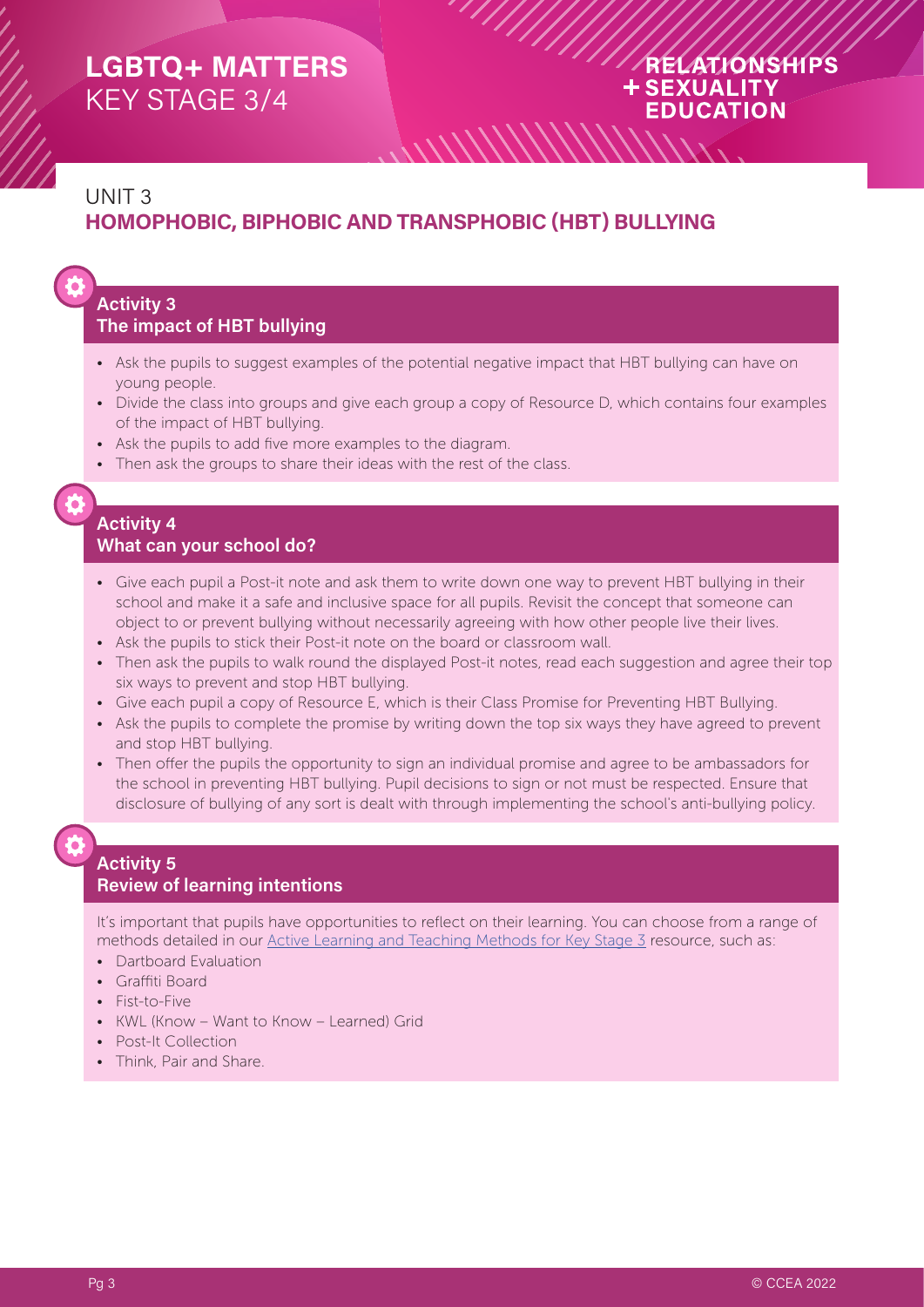#### RELATIONSHIPS **+SEXUALITY EDUCATION**

## UNIT 3 **HOMOPHOBIC, BIPHOBIC AND TRANSPHOBIC (HBT) BULLYING**

#### **Activity 3 The impact of HBT bullying**

- Ask the pupils to suggest examples of the potential negative impact that HBT bullying can have on young people.
- Divide the class into groups and give each group a copy of Resource D, which contains four examples of the impact of HBT bullying.
- Ask the pupils to add five more examples to the diagram.
- Then ask the groups to share their ideas with the rest of the class.

#### **Activity 4 What can your school do?**

- Give each pupil a Post-it note and ask them to write down one way to prevent HBT bullying in their school and make it a safe and inclusive space for all pupils. Revisit the concept that someone can object to or prevent bullying without necessarily agreeing with how other people live their lives.
- Ask the pupils to stick their Post-it note on the board or classroom wall.
- Then ask the pupils to walk round the displayed Post-it notes, read each suggestion and agree their top six ways to prevent and stop HBT bullying.
- Give each pupil a copy of Resource E, which is their Class Promise for Preventing HBT Bullying.
- Ask the pupils to complete the promise by writing down the top six ways they have agreed to prevent and stop HBT bullying.
- Then offer the pupils the opportunity to sign an individual promise and agree to be ambassadors for the school in preventing HBT bullying. Pupil decisions to sign or not must be respected. Ensure that disclosure of bullying of any sort is dealt with through implementing the school's anti-bullying policy.

#### **Activity 5 Review of learning intentions**

It's important that pupils have opportunities to reflect on their learning. You can choose from a range of methods detailed in our [Active Learning and Teaching Methods for Key Stage 3](https://ccea.org.uk/downloads/docs/ccea-asset/Curriculum/Active%20Learning%20and%20Teaching%20Methods%20for%20Key%20Stage%203.pdf) resource, such as:

- Dartboard Evaluation
- Graffiti Board
- Fist-to-Five
- KWL (Know Want to Know Learned) Grid
- Post-It Collection
- Think, Pair and Share.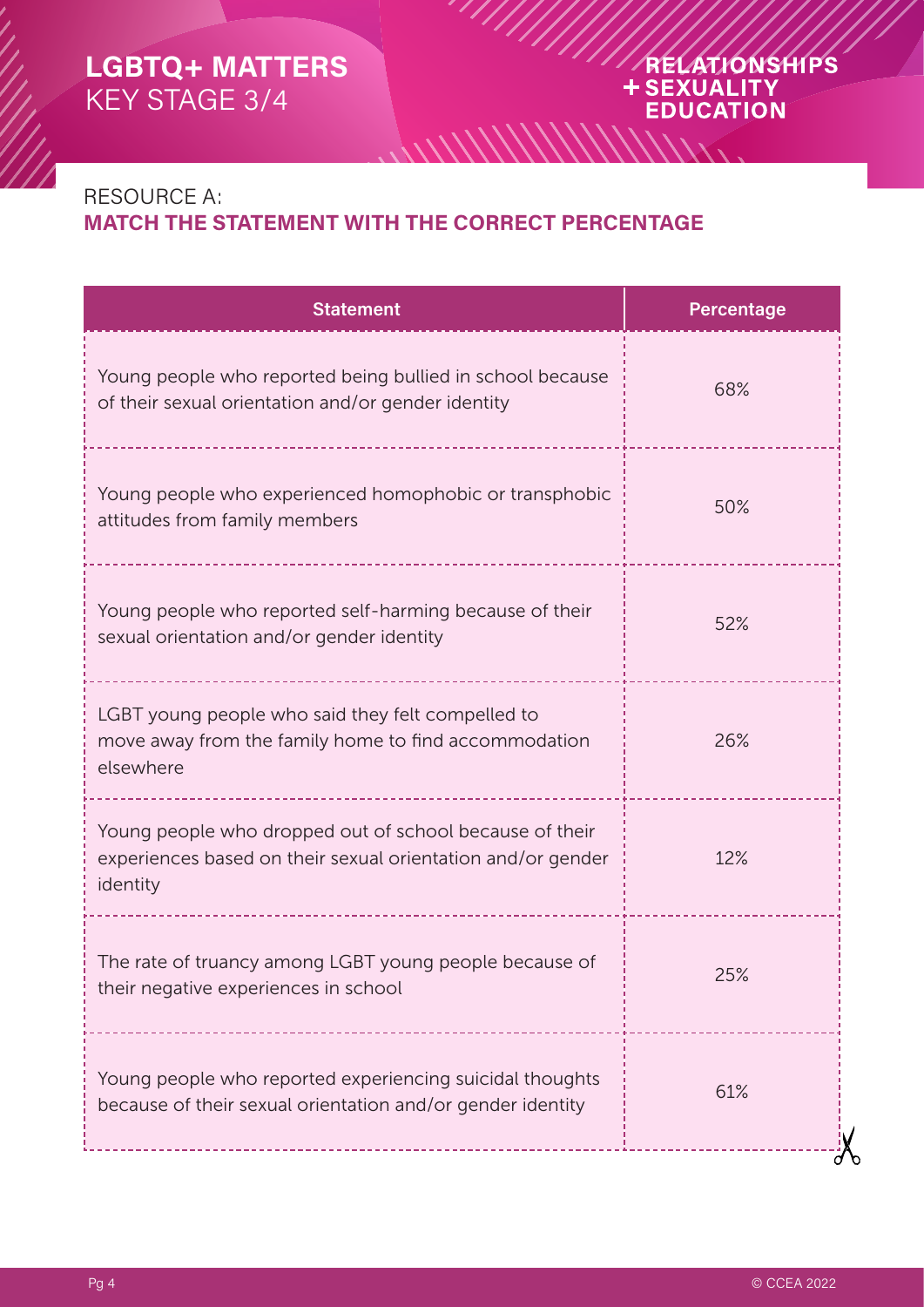#### RELATIONSHIPS + SEXUALITY **EDUCATION**

## RESOURCE A: **MATCH THE STATEMENT WITH THE CORRECT PERCENTAGE**

 $\frac{1}{2}$ 

| <b>Statement</b>                                                                                                                   | Percentage |
|------------------------------------------------------------------------------------------------------------------------------------|------------|
| Young people who reported being bullied in school because<br>of their sexual orientation and/or gender identity                    | 68%        |
| Young people who experienced homophobic or transphobic<br>attitudes from family members                                            | 50%        |
| Young people who reported self-harming because of their<br>sexual orientation and/or gender identity                               | 52%        |
| LGBT young people who said they felt compelled to<br>move away from the family home to find accommodation<br>elsewhere             | 26%        |
| Young people who dropped out of school because of their<br>experiences based on their sexual orientation and/or gender<br>identity | 12%        |
| The rate of truancy among LGBT young people because of<br>their negative experiences in school                                     | 25%        |
| Young people who reported experiencing suicidal thoughts<br>because of their sexual orientation and/or gender identity             | 61%        |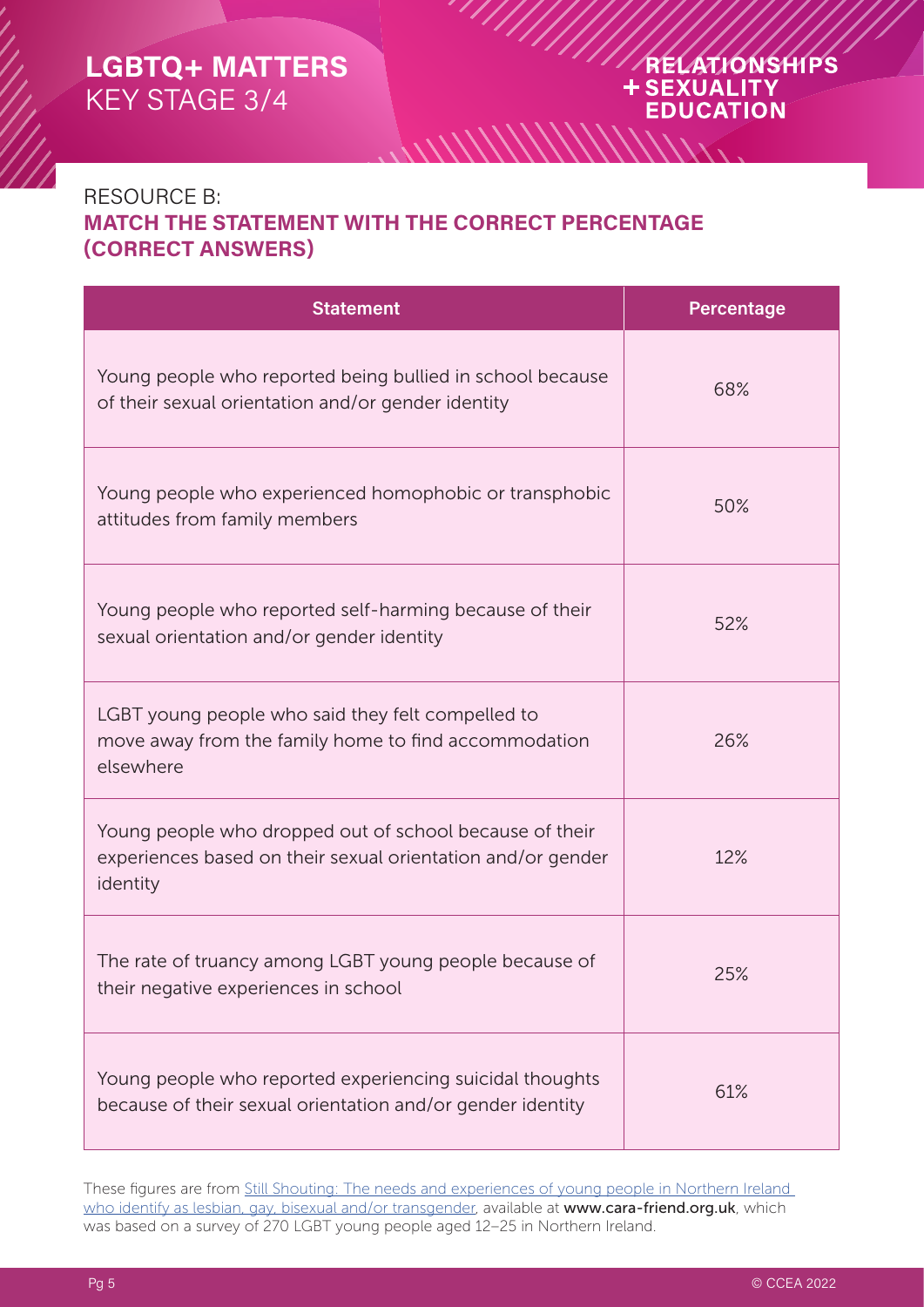#### RELATIONSHIPS **+SEXUALITY EDUCATION**

#### RESOURCE B: **MATCH THE STATEMENT WITH THE CORRECT PERCENTAGE (CORRECT ANSWERS)**

 $\frac{1}{2}$ 

| <b>Statement</b>                                                                                                                   | <b>Percentage</b> |
|------------------------------------------------------------------------------------------------------------------------------------|-------------------|
| Young people who reported being bullied in school because<br>of their sexual orientation and/or gender identity                    | 68%               |
| Young people who experienced homophobic or transphobic<br>attitudes from family members                                            | 50%               |
| Young people who reported self-harming because of their<br>sexual orientation and/or gender identity                               | 52%               |
| LGBT young people who said they felt compelled to<br>move away from the family home to find accommodation<br>elsewhere             | 26%               |
| Young people who dropped out of school because of their<br>experiences based on their sexual orientation and/or gender<br>identity | 12%               |
| The rate of truancy among LGBT young people because of<br>their negative experiences in school                                     | 25%               |
| Young people who reported experiencing suicidal thoughts<br>because of their sexual orientation and/or gender identity             | 61%               |

These figures are from [Still Shouting: The needs and experiences of young people in Northern Ireland](https://cara-friend.org.uk/wp-content/uploads/2018/08/Still-Shouting-2017.pdf)  [who identify as lesbian, gay, bisexual and/or transgender](https://cara-friend.org.uk/wp-content/uploads/2018/08/Still-Shouting-2017.pdf), available at www.cara-friend.org.uk, which was based on a survey of 270 LGBT young people aged 12–25 in Northern Ireland.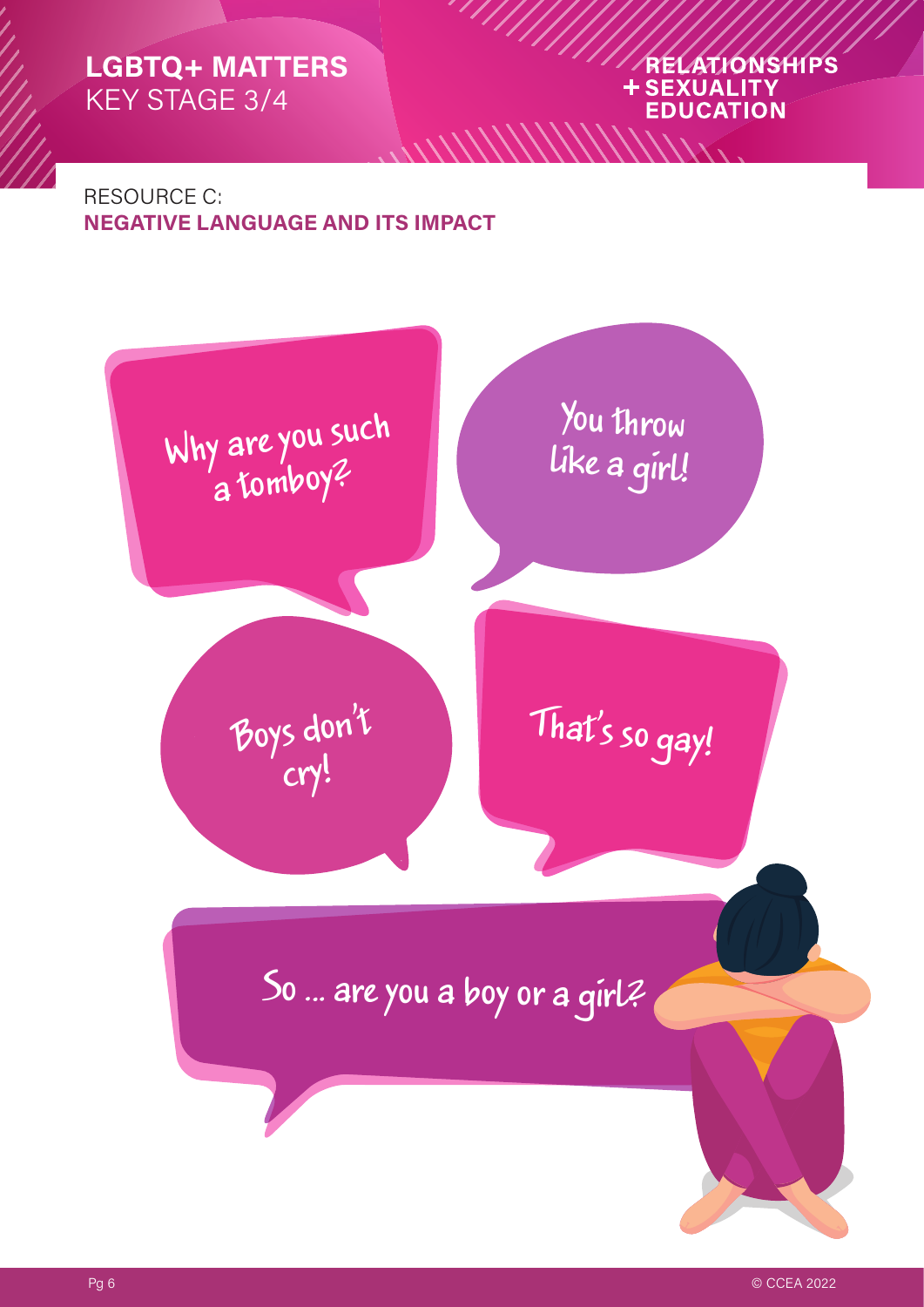#### RELATIONSHIPS **+SEXUALITY EDUCATION**

RESOURCE C: **NEGATIVE LANGUAGE AND ITS IMPACT**



 $\frac{1}{2}$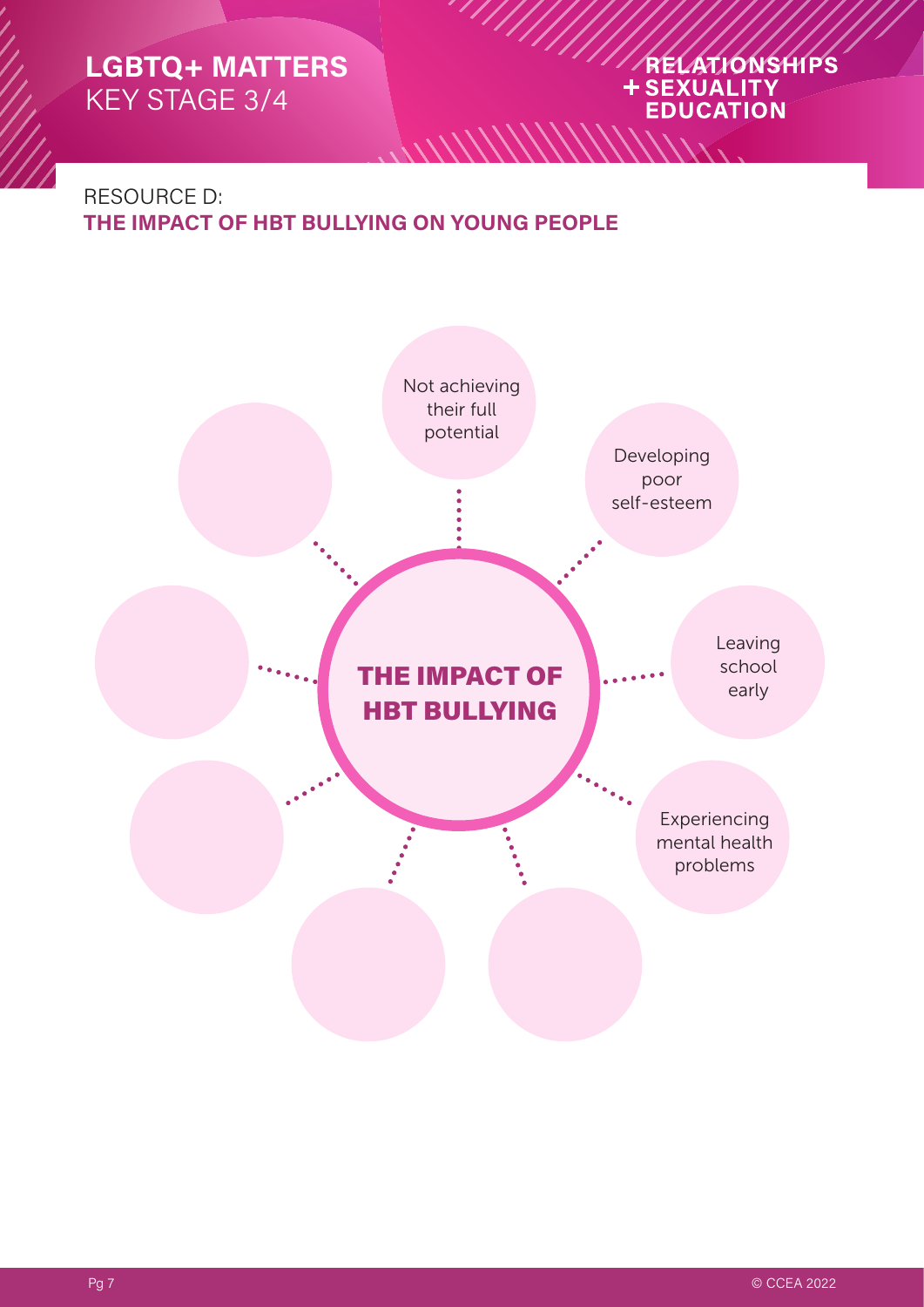# ARELATIONSHIPS

## RESOURCE D: **THE IMPACT OF HBT BULLYING ON YOUNG PEOPLE**



 $\frac{\textstyle{5.0011}}{\textstyle{5.0011}}$